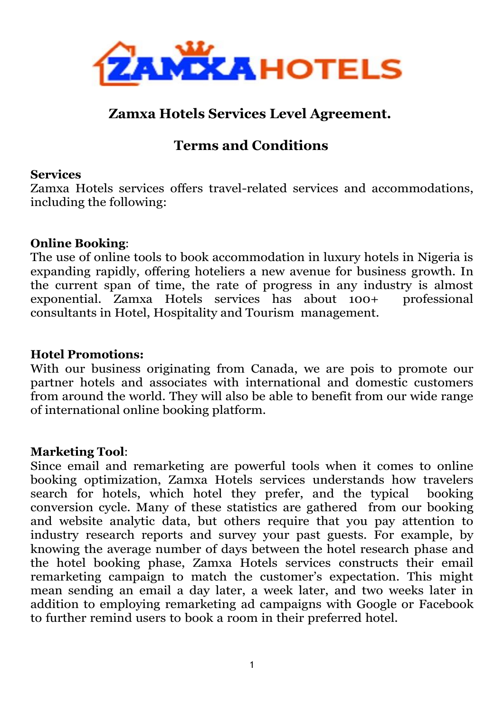

# **Zamxa Hotels Services Level Agreement.**

# **Terms and Conditions**

#### **Services**

Zamxa Hotels services offers travel-related services and accommodations, including the following:

#### **Online Booking**:

The use of online tools to book accommodation in luxury hotels in Nigeria is expanding rapidly, offering hoteliers a new avenue for business growth. In the current span of time, the rate of progress in any industry is almost exponential. Zamxa Hotels services has about 100+ professional consultants in Hotel, Hospitality and Tourism management.

#### **Hotel Promotions:**

With our business originating from Canada, we are pois to promote our partner hotels and associates with international and domestic customers from around the world. They will also be able to benefit from our wide range of international online booking platform.

#### **Marketing Tool**:

Since email and remarketing are powerful tools when it comes to online booking optimization, Zamxa Hotels services understands how travelers search for hotels, which hotel they prefer, and the typical booking conversion cycle. Many of these statistics are gathered from our booking and website analytic data, but others require that you pay attention to industry research reports and survey your past guests. For example, by knowing the average number of days between the hotel research phase and the hotel booking phase, Zamxa Hotels services constructs their email remarketing campaign to match the customer's expectation. This might mean sending an email a day later, a week later, and two weeks later in addition to employing remarketing ad campaigns with Google or Facebook to further remind users to book a room in their preferred hotel.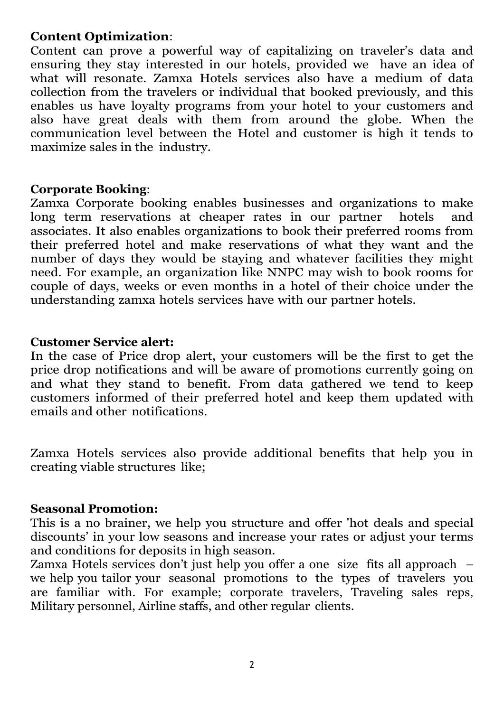### **Content Optimization**:

Content can prove a powerful way of capitalizing on traveler's data and ensuring they stay interested in our hotels, provided we have an idea of what will resonate. Zamxa Hotels services also have a medium of data collection from the travelers or individual that booked previously, and this enables us have loyalty programs from your hotel to your customers and also have great deals with them from around the globe. When the communication level between the Hotel and customer is high it tends to maximize sales in the industry.

#### **Corporate Booking**:

Zamxa Corporate booking enables businesses and organizations to make long term reservations at cheaper rates in our partner hotels and associates. It also enables organizations to book their preferred rooms from their preferred hotel and make reservations of what they want and the number of days they would be staying and whatever facilities they might need. For example, an organization like NNPC may wish to book rooms for couple of days, weeks or even months in a hotel of their choice under the understanding zamxa hotels services have with our partner hotels.

#### **Customer Service alert:**

In the case of Price drop alert, your customers will be the first to get the price drop notifications and will be aware of promotions currently going on and what they stand to benefit. From data gathered we tend to keep customers informed of their preferred hotel and keep them updated with emails and other notifications.

Zamxa Hotels services also provide additional benefits that help you in creating viable structures like;

#### **Seasonal Promotion:**

This is a no brainer, we help you structure and offer 'hot deals and special discounts' in your low seasons and increase your rates or adjust your terms and conditions for deposits in high season.

Zamxa Hotels services don't just help you offer a one size fits all approach – we help you tailor your seasonal promotions to the types of travelers you are familiar with. For example; corporate travelers, Traveling sales reps, Military personnel, Airline staffs, and other regular clients.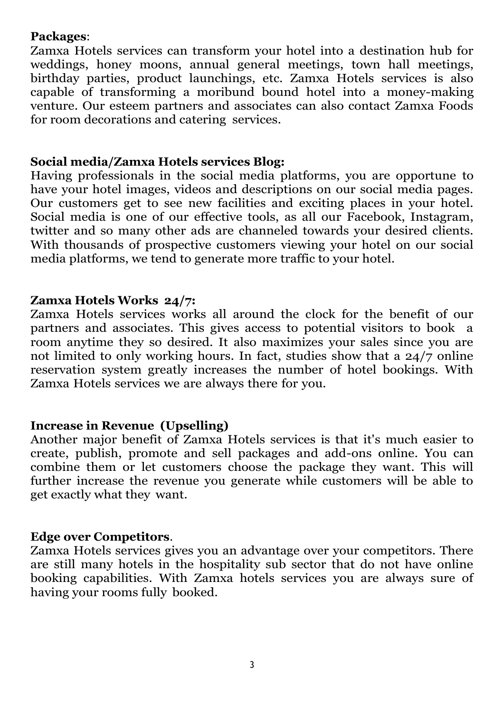### **Packages**:

Zamxa Hotels services can transform your hotel into a destination hub for weddings, honey moons, annual general meetings, town hall meetings, birthday parties, product launchings, etc. Zamxa Hotels services is also capable of transforming a moribund bound hotel into a money-making venture. Our esteem partners and associates can also contact Zamxa Foods for room decorations and catering services.

### **Social media/Zamxa Hotels services Blog:**

Having professionals in the social media platforms, you are opportune to have your hotel images, videos and descriptions on our social media pages. Our customers get to see new facilities and exciting places in your hotel. Social media is one of our effective tools, as all our Facebook, Instagram, twitter and so many other ads are channeled towards your desired clients. With thousands of prospective customers viewing your hotel on our social media platforms, we tend to generate more traffic to your hotel.

### **Zamxa Hotels Works 24/7:**

Zamxa Hotels services works all around the clock for the benefit of our partners and associates. This gives access to potential visitors to book a room anytime they so desired. It also maximizes your sales since you are not limited to only working hours. In fact, studies show that a 24/7 online reservation system greatly increases the number of hotel bookings. With Zamxa Hotels services we are always there for you.

### **Increase in Revenue (Upselling)**

Another major benefit of Zamxa Hotels services is that it's much easier to create, publish, promote and sell packages and add-ons online. You can combine them or let customers choose the package they want. This will further increase the revenue you generate while customers will be able to get exactly what they want.

#### **Edge over Competitors**.

Zamxa Hotels services gives you an advantage over your competitors. There are still many hotels in the hospitality sub sector that do not have online booking capabilities. With Zamxa hotels services you are always sure of having your rooms fully booked.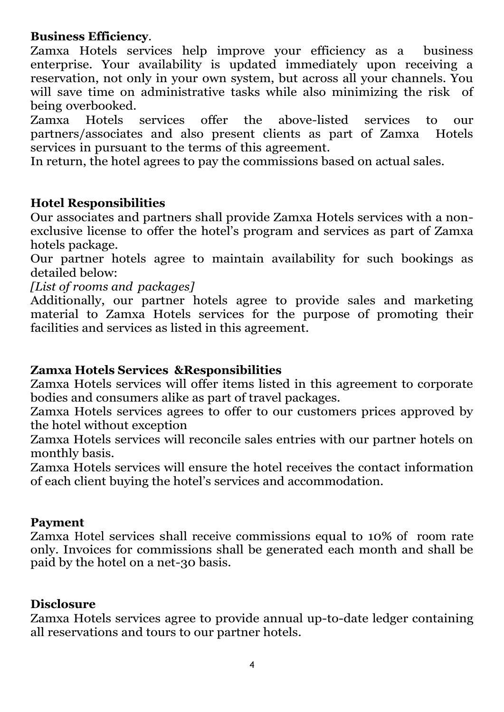### **Business Efficiency**.

Zamxa Hotels services help improve your efficiency as a business enterprise. Your availability is updated immediately upon receiving a reservation, not only in your own system, but across all your channels. You will save time on administrative tasks while also minimizing the risk of being overbooked.

Zamxa Hotels services offer the above-listed services to our partners/associates and also present clients as part of Zamxa Hotels services in pursuant to the terms of this agreement.

In return, the hotel agrees to pay the commissions based on actual sales.

### **Hotel Responsibilities**

Our associates and partners shall provide Zamxa Hotels services with a nonexclusive license to offer the hotel's program and services as part of Zamxa hotels package.

Our partner hotels agree to maintain availability for such bookings as detailed below:

*[List of rooms and packages]*

Additionally, our partner hotels agree to provide sales and marketing material to Zamxa Hotels services for the purpose of promoting their facilities and services as listed in this agreement.

### **Zamxa Hotels Services &Responsibilities**

Zamxa Hotels services will offer items listed in this agreement to corporate bodies and consumers alike as part of travel packages.

Zamxa Hotels services agrees to offer to our customers prices approved by the hotel without exception

Zamxa Hotels services will reconcile sales entries with our partner hotels on monthly basis.

Zamxa Hotels services will ensure the hotel receives the contact information of each client buying the hotel's services and accommodation.

#### **Payment**

Zamxa Hotel services shall receive commissions equal to 10% of room rate only. Invoices for commissions shall be generated each month and shall be paid by the hotel on a net-30 basis.

#### **Disclosure**

Zamxa Hotels services agree to provide annual up-to-date ledger containing all reservations and tours to our partner hotels.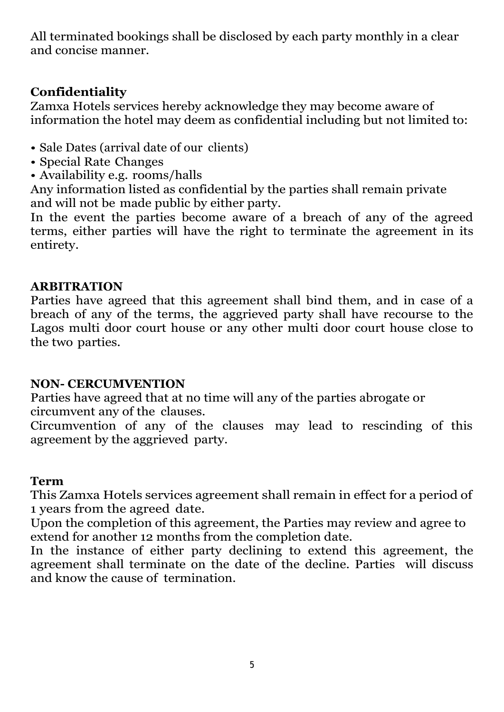All terminated bookings shall be disclosed by each party monthly in a clear and concise manner.

# **Confidentiality**

Zamxa Hotels services hereby acknowledge they may become aware of information the hotel may deem as confidential including but not limited to:

- Sale Dates (arrival date of our clients)
- Special Rate Changes
- Availability e.g. rooms/halls

Any information listed as confidential by the parties shall remain private and will not be made public by either party.

In the event the parties become aware of a breach of any of the agreed terms, either parties will have the right to terminate the agreement in its entirety.

### **ARBITRATION**

Parties have agreed that this agreement shall bind them, and in case of a breach of any of the terms, the aggrieved party shall have recourse to the Lagos multi door court house or any other multi door court house close to the two parties.

### **NON- CERCUMVENTION**

Parties have agreed that at no time will any of the parties abrogate or circumvent any of the clauses.

Circumvention of any of the clauses may lead to rescinding of this agreement by the aggrieved party.

### **Term**

This Zamxa Hotels services agreement shall remain in effect for a period of 1 years from the agreed date.

Upon the completion of this agreement, the Parties may review and agree to extend for another 12 months from the completion date.

In the instance of either party declining to extend this agreement, the agreement shall terminate on the date of the decline. Parties will discuss and know the cause of termination.